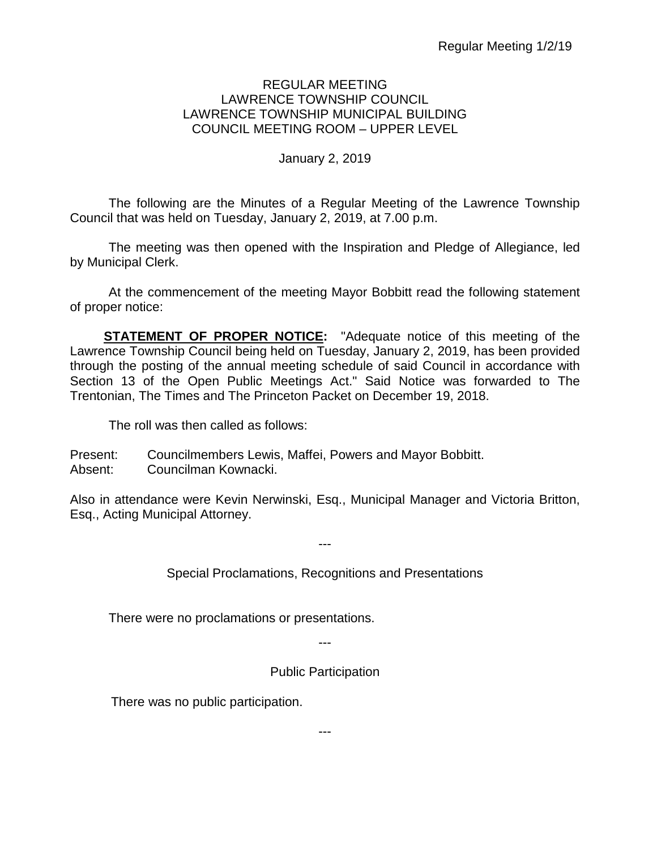### REGULAR MEETING LAWRENCE TOWNSHIP COUNCIL LAWRENCE TOWNSHIP MUNICIPAL BUILDING COUNCIL MEETING ROOM – UPPER LEVEL

# January 2, 2019

The following are the Minutes of a Regular Meeting of the Lawrence Township Council that was held on Tuesday, January 2, 2019, at 7.00 p.m.

The meeting was then opened with the Inspiration and Pledge of Allegiance, led by Municipal Clerk.

At the commencement of the meeting Mayor Bobbitt read the following statement of proper notice:

**STATEMENT OF PROPER NOTICE:** "Adequate notice of this meeting of the Lawrence Township Council being held on Tuesday, January 2, 2019, has been provided through the posting of the annual meeting schedule of said Council in accordance with Section 13 of the Open Public Meetings Act." Said Notice was forwarded to The Trentonian, The Times and The Princeton Packet on December 19, 2018.

The roll was then called as follows:

Present: Councilmembers Lewis, Maffei, Powers and Mayor Bobbitt. Absent: Councilman Kownacki.

Also in attendance were Kevin Nerwinski, Esq., Municipal Manager and Victoria Britton, Esq., Acting Municipal Attorney.

Special Proclamations, Recognitions and Presentations

---

There were no proclamations or presentations.

---

Public Participation

There was no public participation.

---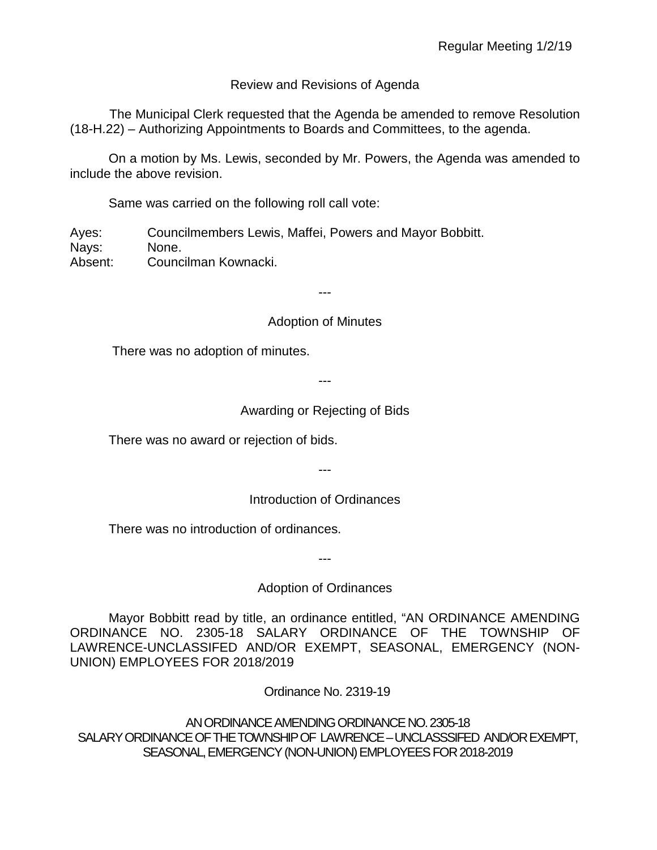# Review and Revisions of Agenda

 The Municipal Clerk requested that the Agenda be amended to remove Resolution (18-H.22) – Authorizing Appointments to Boards and Committees, to the agenda.

On a motion by Ms. Lewis, seconded by Mr. Powers, the Agenda was amended to include the above revision.

Same was carried on the following roll call vote:

Ayes: Councilmembers Lewis, Maffei, Powers and Mayor Bobbitt. Nays: None. Absent: Councilman Kownacki.

---

Adoption of Minutes

There was no adoption of minutes.

---

# Awarding or Rejecting of Bids

There was no award or rejection of bids.

---

# Introduction of Ordinances

There was no introduction of ordinances.

Adoption of Ordinances

---

Mayor Bobbitt read by title, an ordinance entitled, "AN ORDINANCE AMENDING ORDINANCE NO. 2305-18 SALARY ORDINANCE OF THE TOWNSHIP OF LAWRENCE-UNCLASSIFED AND/OR EXEMPT, SEASONAL, EMERGENCY (NON-UNION) EMPLOYEES FOR 2018/2019

Ordinance No. 2319-19

AN ORDINANCE AMENDING ORDINANCE NO. 2305-18 SALARY ORDINANCE OF THE TOWNSHIP OF LAWRENCE –UNCLASSSIFED AND/OR EXEMPT, SEASONAL,EMERGENCY (NON-UNION) EMPLOYEES FOR 2018-2019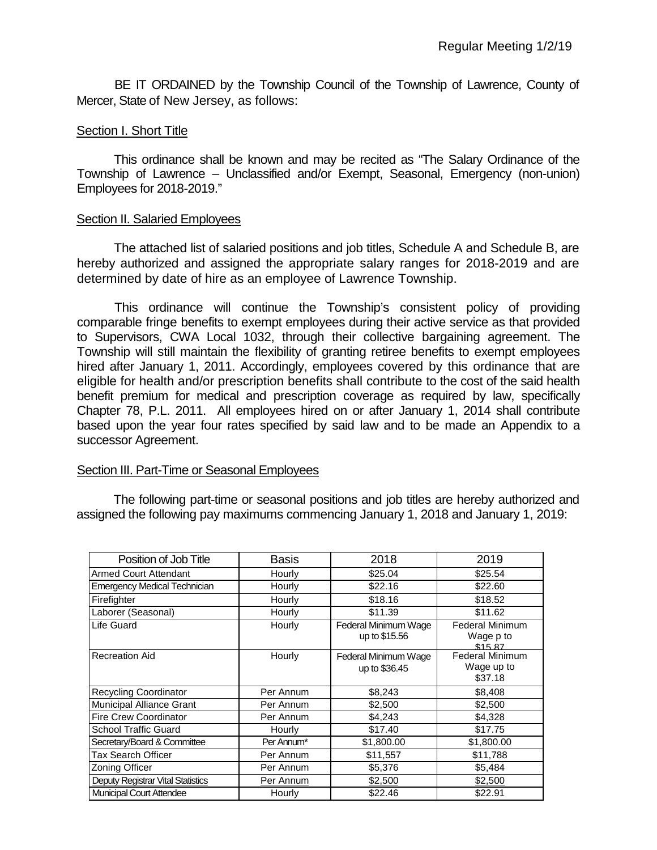BE IT ORDAINED by the Township Council of the Township of Lawrence, County of Mercer, State of New Jersey, as follows:

#### Section I. Short Title

This ordinance shall be known and may be recited as "The Salary Ordinance of the Township of Lawrence – Unclassified and/or Exempt, Seasonal, Emergency (non-union) Employees for 2018-2019."

#### Section II. Salaried Employees

The attached list of salaried positions and job titles, Schedule A and Schedule B, are hereby authorized and assigned the appropriate salary ranges for 2018-2019 and are determined by date of hire as an employee of Lawrence Township.

This ordinance will continue the Township's consistent policy of providing comparable fringe benefits to exempt employees during their active service as that provided to Supervisors, CWA Local 1032, through their collective bargaining agreement. The Township will still maintain the flexibility of granting retiree benefits to exempt employees hired after January 1, 2011. Accordingly, employees covered by this ordinance that are eligible for health and/or prescription benefits shall contribute to the cost of the said health benefit premium for medical and prescription coverage as required by law, specifically Chapter 78, P.L. 2011. All employees hired on or after January 1, 2014 shall contribute based upon the year four rates specified by said law and to be made an Appendix to a successor Agreement.

### Section III. Part-Time or Seasonal Employees

The following part-time or seasonal positions and job titles are hereby authorized and assigned the following pay maximums commencing January 1, 2018 and January 1, 2019:

| Position of Job Title                    | <b>Basis</b> | 2018                                  | 2019                                            |  |
|------------------------------------------|--------------|---------------------------------------|-------------------------------------------------|--|
| Armed Court Attendant                    | Hourly       | \$25.04                               | \$25.54                                         |  |
| <b>Emergency Medical Technician</b>      | Hourly       | \$22.16                               | \$22.60                                         |  |
| Firefighter                              | Hourly       | \$18.16                               | \$18.52                                         |  |
| Laborer (Seasonal)                       | Hourly       | \$11.39                               | \$11.62                                         |  |
| Life Guard                               | Hourly       | Federal Minimum Wage<br>up to \$15.56 | Federal Minimum<br>Wage p to<br>\$15.87         |  |
| <b>Recreation Aid</b>                    | Hourly       | Federal Minimum Wage<br>up to \$36.45 | <b>Federal Minimum</b><br>Wage up to<br>\$37.18 |  |
| <b>Recycling Coordinator</b>             | Per Annum    | \$8,243                               | \$8,408                                         |  |
| Municipal Alliance Grant                 | Per Annum    | \$2,500                               | \$2,500                                         |  |
| <b>Fire Crew Coordinator</b>             | Per Annum    | \$4,243                               | \$4,328                                         |  |
| <b>School Traffic Guard</b>              | Hourly       | \$17.40                               | \$17.75                                         |  |
| Secretary/Board & Committee              | Per Annum*   | \$1,800.00                            | \$1,800.00                                      |  |
| Tax Search Officer                       | Per Annum    | \$11,557                              | \$11,788                                        |  |
| Zoning Officer                           | Per Annum    | \$5,376                               | \$5,484                                         |  |
| <b>Deputy Registrar Vital Statistics</b> | Per Annum    | \$2,500                               | \$2,500                                         |  |
| <b>Municipal Court Attendee</b>          | Hourly       | \$22.46                               | \$22.91                                         |  |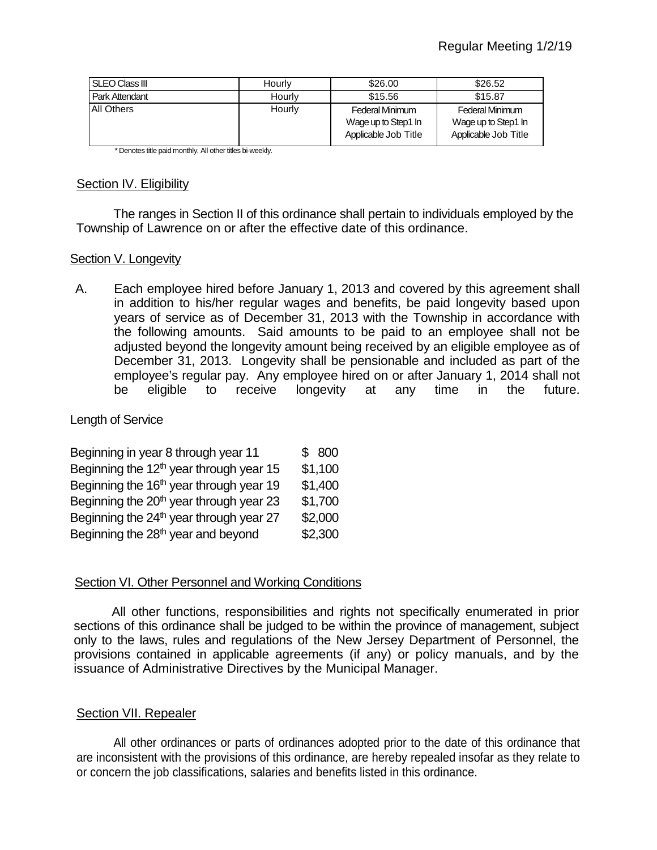| I SLEO Class III  | Hourly | \$26.00                                                        | \$26.52                                                               |  |
|-------------------|--------|----------------------------------------------------------------|-----------------------------------------------------------------------|--|
| Park Attendant    | Hourly | \$15.56                                                        | \$15.87                                                               |  |
| <b>All Others</b> | Hourly | Federal Minimum<br>Wage up to Step1 In<br>Applicable Job Title | <b>Federal Minimum</b><br>Wage up to Step1 In<br>Applicable Job Title |  |

\* Denotes title paid monthly. All other titles bi-weekly.

### Section IV. Eligibility

The ranges in Section II of this ordinance shall pertain to individuals employed by the Township of Lawrence on or after the effective date of this ordinance.

## Section V. Longevity

A. Each employee hired before January 1, 2013 and covered by this agreement shall in addition to his/her regular wages and benefits, be paid longevity based upon years of service as of December 31, 2013 with the Township in accordance with the following amounts. Said amounts to be paid to an employee shall not be adjusted beyond the longevity amount being received by an eligible employee as of December 31, 2013. Longevity shall be pensionable and included as part of the employee's regular pay. Any employee hired on or after January 1, 2014 shall not be eligible to receive longevity at any time in the future.

# Length of Service

| Beginning in year 8 through year 11                 | \$800   |
|-----------------------------------------------------|---------|
| Beginning the $12th$ year through year 15           | \$1,100 |
| Beginning the 16 <sup>th</sup> year through year 19 | \$1,400 |
| Beginning the 20 <sup>th</sup> year through year 23 | \$1,700 |
| Beginning the 24 <sup>th</sup> year through year 27 | \$2,000 |
| Beginning the 28 <sup>th</sup> year and beyond      | \$2,300 |

## Section VI. Other Personnel and Working Conditions

All other functions, responsibilities and rights not specifically enumerated in prior sections of this ordinance shall be judged to be within the province of management, subject only to the laws, rules and regulations of the New Jersey Department of Personnel, the provisions contained in applicable agreements (if any) or policy manuals, and by the issuance of Administrative Directives by the Municipal Manager.

## Section VII. Repealer

All other ordinances or parts of ordinances adopted prior to the date of this ordinance that are inconsistent with the provisions of this ordinance, are hereby repealed insofar as they relate to or concern the job classifications, salaries and benefits listed in this ordinance.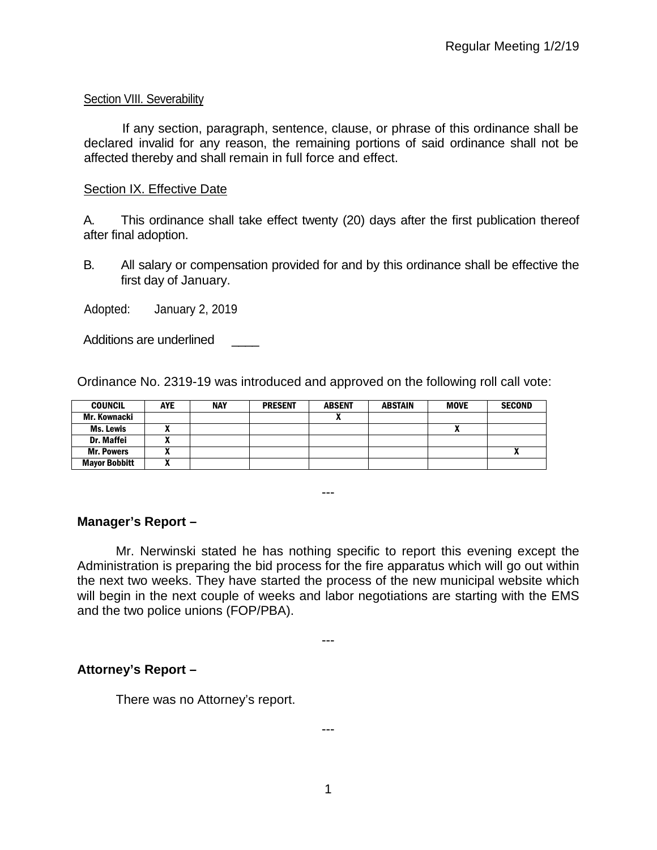### Section VIII. Severability

If any section, paragraph, sentence, clause, or phrase of this ordinance shall be declared invalid for any reason, the remaining portions of said ordinance shall not be affected thereby and shall remain in full force and effect.

### Section IX. Effective Date

A. This ordinance shall take effect twenty (20) days after the first publication thereof after final adoption.

B. All salary or compensation provided for and by this ordinance shall be effective the first day of January.

Adopted: January 2, 2019

Additions are underlined

Ordinance No. 2319-19 was introduced and approved on the following roll call vote:

| <b>COUNCIL</b>       | <b>AYE</b> | <b>NAY</b> | <b>PRESENT</b> | <b>ABSENT</b> | ABSTAIN | <b>MOVE</b> | <b>SECOND</b> |
|----------------------|------------|------------|----------------|---------------|---------|-------------|---------------|
| Mr. Kownacki         |            |            |                |               |         |             |               |
| Ms. Lewis            |            |            |                |               |         | Λ           |               |
| Dr. Maffei           | ~          |            |                |               |         |             |               |
| <b>Mr. Powers</b>    |            |            |                |               |         |             | ^             |
| <b>Mayor Bobbitt</b> | n          |            |                |               |         |             |               |

---

## **Manager's Report –**

Mr. Nerwinski stated he has nothing specific to report this evening except the Administration is preparing the bid process for the fire apparatus which will go out within the next two weeks. They have started the process of the new municipal website which will begin in the next couple of weeks and labor negotiations are starting with the EMS and the two police unions (FOP/PBA).

---

## **Attorney's Report –**

There was no Attorney's report.

1

---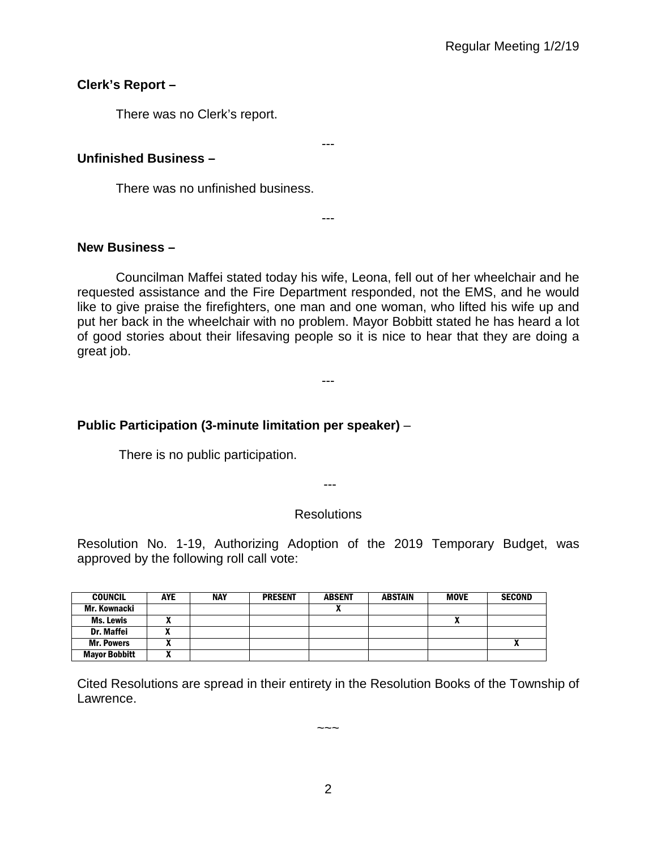# **Clerk's Report –**

There was no Clerk's report.

# **Unfinished Business –**

There was no unfinished business.

# **New Business –**

Councilman Maffei stated today his wife, Leona, fell out of her wheelchair and he requested assistance and the Fire Department responded, not the EMS, and he would like to give praise the firefighters, one man and one woman, who lifted his wife up and put her back in the wheelchair with no problem. Mayor Bobbitt stated he has heard a lot of good stories about their lifesaving people so it is nice to hear that they are doing a great job.

---

---

---

# **Public Participation (3-minute limitation per speaker)** –

There is no public participation.

---

## **Resolutions**

Resolution No. 1-19, Authorizing Adoption of the 2019 Temporary Budget, was approved by the following roll call vote:

| <b>COUNCIL</b>       | <b>AYE</b> | <b>NAY</b> | <b>PRESENT</b> | <b>ABSENT</b> | <b>ABSTAIN</b> | <b>MOVE</b> | <b>SECOND</b> |
|----------------------|------------|------------|----------------|---------------|----------------|-------------|---------------|
| Mr. Kownacki         |            |            |                |               |                |             |               |
| Ms. Lewis            |            |            |                |               |                | Λ           |               |
| Dr. Maffei           |            |            |                |               |                |             |               |
| <b>Mr. Powers</b>    |            |            |                |               |                |             |               |
| <b>Mayor Bobbitt</b> |            |            |                |               |                |             |               |

Cited Resolutions are spread in their entirety in the Resolution Books of the Township of Lawrence.

 $\sim\sim\sim$ 

2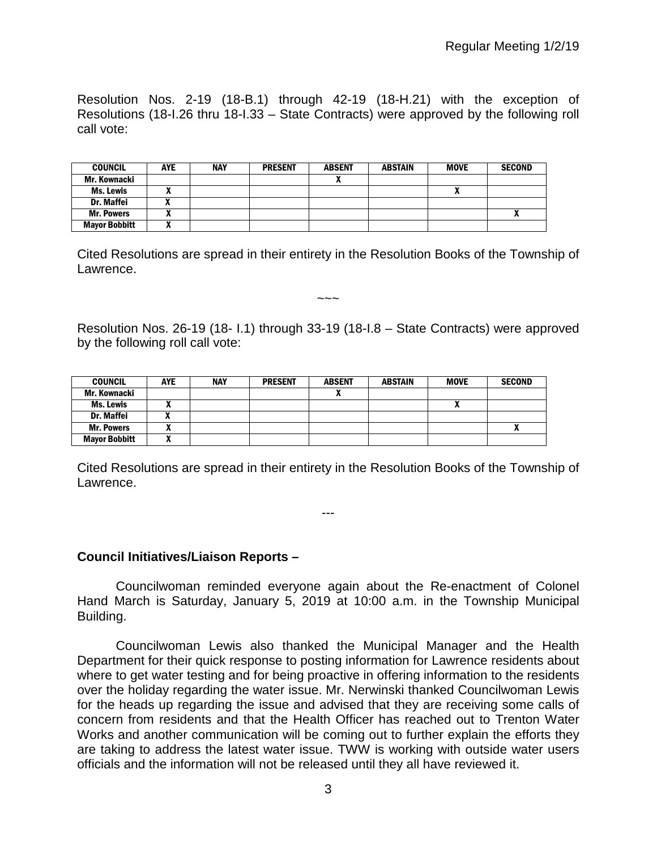Resolution Nos. 2-19 (18-B.1) through 42-19 (18-H.21) with the exception of Resolutions (18-I.26 thru 18-I.33 – State Contracts) were approved by the following roll call vote:

| <b>COUNCIL</b>       | <b>AYE</b> | <b>NAY</b> | <b>PRESENT</b> | <b>ABSENT</b> | <b>ABSTAIN</b> | <b>MOVE</b> | <b>SECOND</b> |
|----------------------|------------|------------|----------------|---------------|----------------|-------------|---------------|
| Mr. Kownacki         |            |            |                |               |                |             |               |
| <b>Ms. Lewis</b>     |            |            |                |               |                |             |               |
| <b>Dr. Maffei</b>    | "          |            |                |               |                |             |               |
| <b>Mr. Powers</b>    |            |            |                |               |                |             | -<br>A        |
| <b>Mayor Bobbitt</b> |            |            |                |               |                |             |               |

Cited Resolutions are spread in their entirety in the Resolution Books of the Township of Lawrence.

~~~

Resolution Nos. 26-19 (18- I.1) through 33-19 (18-I.8 – State Contracts) were approved by the following roll call vote:

| <b>COUNCIL</b>       | <b>AYE</b> | <b>NAY</b> | <b>PRESENT</b> | <b>ABSENT</b> | <b>ABSTAIN</b> | <b>MOVE</b> | <b>SECOND</b> |
|----------------------|------------|------------|----------------|---------------|----------------|-------------|---------------|
| Mr. Kownacki         |            |            |                |               |                |             |               |
| <b>Ms. Lewis</b>     |            |            |                |               |                | Λ           |               |
| Dr. Maffei           |            |            |                |               |                |             |               |
| <b>Mr. Powers</b>    |            |            |                |               |                |             |               |
| <b>Mayor Bobbitt</b> |            |            |                |               |                |             |               |

Cited Resolutions are spread in their entirety in the Resolution Books of the Township of Lawrence.

---

### **Council Initiatives/Liaison Reports –**

Councilwoman reminded everyone again about the Re-enactment of Colonel Hand March is Saturday, January 5, 2019 at 10:00 a.m. in the Township Municipal Building.

Councilwoman Lewis also thanked the Municipal Manager and the Health Department for their quick response to posting information for Lawrence residents about where to get water testing and for being proactive in offering information to the residents over the holiday regarding the water issue. Mr. Nerwinski thanked Councilwoman Lewis for the heads up regarding the issue and advised that they are receiving some calls of concern from residents and that the Health Officer has reached out to Trenton Water Works and another communication will be coming out to further explain the efforts they are taking to address the latest water issue. TWW is working with outside water users officials and the information will not be released until they all have reviewed it.